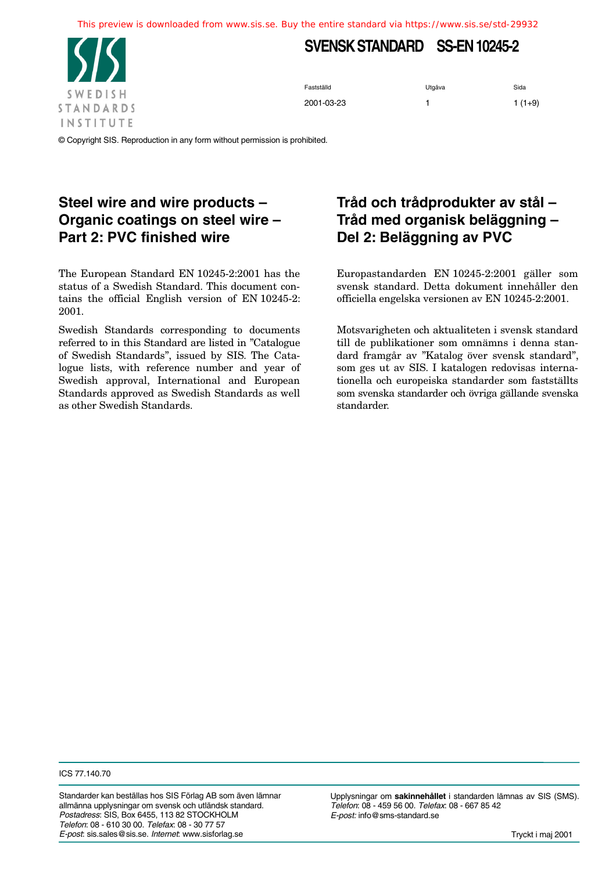This preview is downloaded from www.sis.se. Buy the entire standard via https://www.sis.se/std-29932



# **SVENSK STANDARD SS-EN 10245-2**

Fastställd Sida Utgåva Sida 2001-03-23 1 1 1 (1+9)

© Copyright SIS. Reproduction in any form without permission is prohibited.

# **Steel wire and wire products – Organic coatings on steel wire – Part 2: PVC finished wire**

The European Standard EN 10245-2:2001 has the status of a Swedish Standard. This document contains the official English version of EN 10245-2: 2001.

Swedish Standards corresponding to documents referred to in this Standard are listed in "Catalogue of Swedish Standards", issued by SIS. The Catalogue lists, with reference number and year of Swedish approval, International and European Standards approved as Swedish Standards as well as other Swedish Standards.

# **Tråd och trådprodukter av stål – Tråd med organisk beläggning – Del 2: Beläggning av PVC**

Europastandarden EN 10245-2:2001 gäller som svensk standard. Detta dokument innehåller den officiella engelska versionen av EN 10245-2:2001.

Motsvarigheten och aktualiteten i svensk standard till de publikationer som omnämns i denna standard framgår av "Katalog över svensk standard", som ges ut av SIS. I katalogen redovisas internationella och europeiska standarder som fastställts som svenska standarder och övriga gällande svenska standarder.

ICS 77.140.70

Standarder kan beställas hos SIS Förlag AB som även lämnar allmänna upplysningar om svensk och utländsk standard. Postadress: SIS, Box 6455, 113 82 STOCKHOLM Telefon: 08 - 610 30 00. Telefax: 08 - 30 77 57 E-post: sis.sales@sis.se. Internet: www.sisforlag.se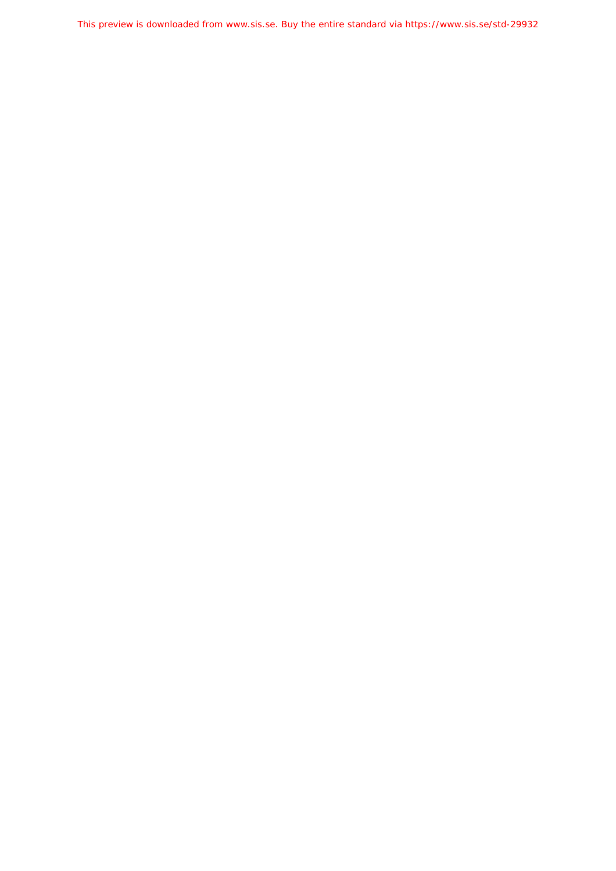This preview is downloaded from www.sis.se. Buy the entire standard via https://www.sis.se/std-29932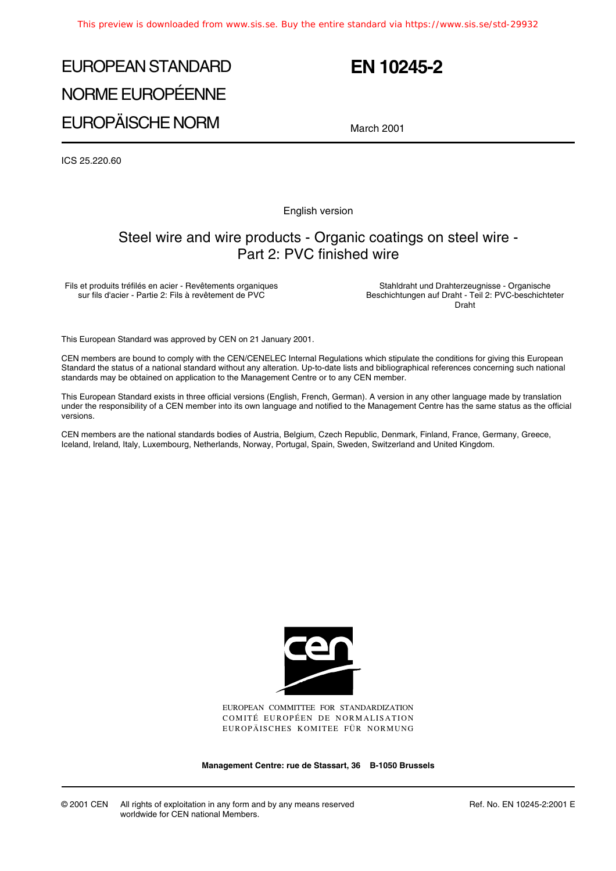# EUROPEAN STANDARD NORME EUROPÉENNE EUROPÄISCHE NORM

# **EN 10245-2**

March 2001

ICS 25.220.60

English version

#### Steel wire and wire products - Organic coatings on steel wire - Part 2: PVC finished wire

Fils et produits tréfilés en acier - Revêtements organiques sur fils d'acier - Partie 2: Fils à revêtement de PVC

Stahldraht und Drahterzeugnisse - Organische Beschichtungen auf Draht - Teil 2: PVC-beschichteter Draht

This European Standard was approved by CEN on 21 January 2001.

CEN members are bound to comply with the CEN/CENELEC Internal Regulations which stipulate the conditions for giving this European Standard the status of a national standard without any alteration. Up-to-date lists and bibliographical references concerning such national standards may be obtained on application to the Management Centre or to any CEN member.

This European Standard exists in three official versions (English, French, German). A version in any other language made by translation under the responsibility of a CEN member into its own language and notified to the Management Centre has the same status as the official versions.

CEN members are the national standards bodies of Austria, Belgium, Czech Republic, Denmark, Finland, France, Germany, Greece, Iceland, Ireland, Italy, Luxembourg, Netherlands, Norway, Portugal, Spain, Sweden, Switzerland and United Kingdom.



EUROPEAN COMMITTEE FOR STANDARDIZATION COMITÉ EUROPÉEN DE NORMALISATION EUROPÄISCHES KOMITEE FÜR NORMUNG

**Management Centre: rue de Stassart, 36 B-1050 Brussels**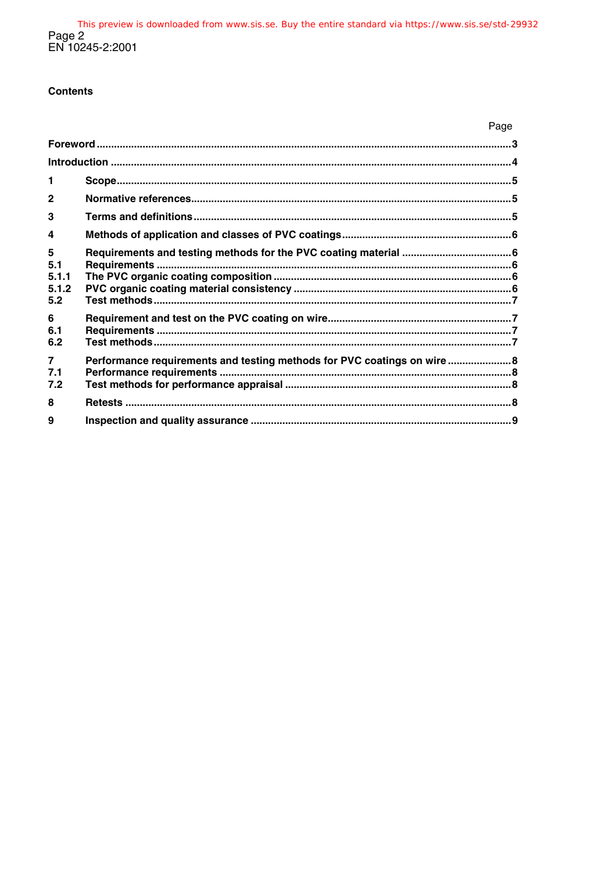#### **Contents**

|                              |                                                                          | Page |
|------------------------------|--------------------------------------------------------------------------|------|
|                              |                                                                          |      |
|                              |                                                                          |      |
| 1                            |                                                                          |      |
| $\mathbf{2}$                 |                                                                          |      |
| 3                            |                                                                          |      |
| 4                            |                                                                          |      |
| 5<br>5.1<br>5.1.1            |                                                                          |      |
| 5.1.2<br>5.2                 |                                                                          |      |
| 6<br>6.1<br>6.2              |                                                                          |      |
| $\overline{7}$<br>7.1<br>7.2 | Performance requirements and testing methods for PVC coatings on wire  8 |      |
| 8                            |                                                                          |      |
| 9                            |                                                                          |      |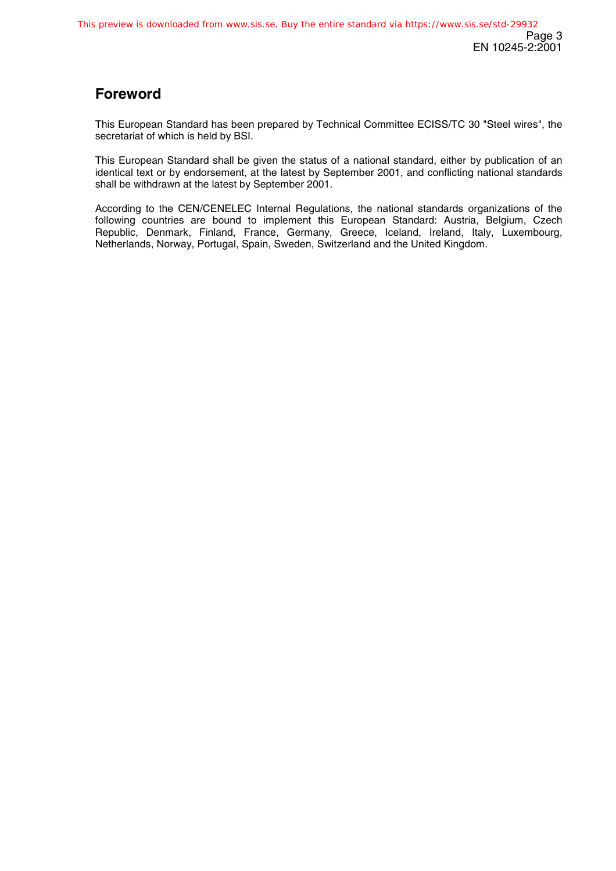## **Foreword**

This European Standard has been prepared by Technical Committee ECISS/TC 30 "Steel wires", the secretariat of which is held by BSI.

This European Standard shall be given the status of a national standard, either by publication of an identical text or by endorsement, at the latest by September 2001, and conflicting national standards shall be withdrawn at the latest by September 2001.

According to the CEN/CENELEC Internal Regulations, the national standards organizations of the following countries are bound to implement this European Standard: Austria, Belgium, Czech Republic, Denmark, Finland, France, Germany, Greece, Iceland, Ireland, Italy, Luxembourg, Netherlands, Norway, Portugal, Spain, Sweden, Switzerland and the United Kingdom.